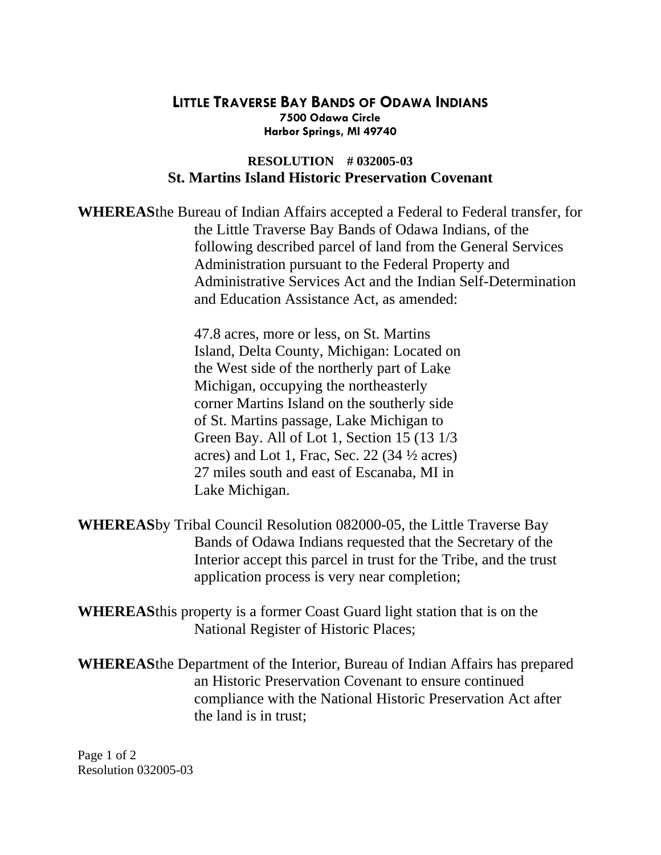## **LITTLE TRAVERSE BAY BANDS OF ODAWA INDIANS Harbor Springs, MI 49740 7500 Odawa Circle**

## **St. Martins Island Historic Preservation Covenant RESOLUTION # 032005-03**

WHEREAS the Bureau of Indian Affairs accepted a Federal to Federal transfer, for following described parcel of land from the General Services Administrative Services Act and the Indian Self-Determination and Education Assistance Act, as amended: the Little Traverse Bay Bands of Odawa Indians, of the Administration pursuant to the Federal Property and

> the West side of the northerly part of Lake 27 miles south and east of Escanaba, MI in Lake Michigan. 47.8 acres, more or less, on St. Martins Island, Delta County, Michigan: Located on Michigan, occupying the northeasterly corner Martins Island on the southerly side of St. Martins passage, Lake Michigan to Green Bay. All of Lot 1, Section 15 (13 1/3 acres) and Lot 1, Frac, Sec. 22 (34 ½ acres)

WHEREAS by Tribal Council Resolution 082000-05, the Little Traverse Bay Interior accept this parcel in trust for the Tribe, and the trust application process is very near completion; Bands of Odawa Indians requested that the Secretary of the

**WHEREAS** this property is a former Coast Guard light station that is on the National Register of Historic Places;

WHEREAS the Department of the Interior, Bureau of Indian Affairs has prepared compliance with the National Historic Preservation Act after the land is in trust; an Historic Preservation Covenant to ensure continued

Page 1 of 2 Resolution 032005-03